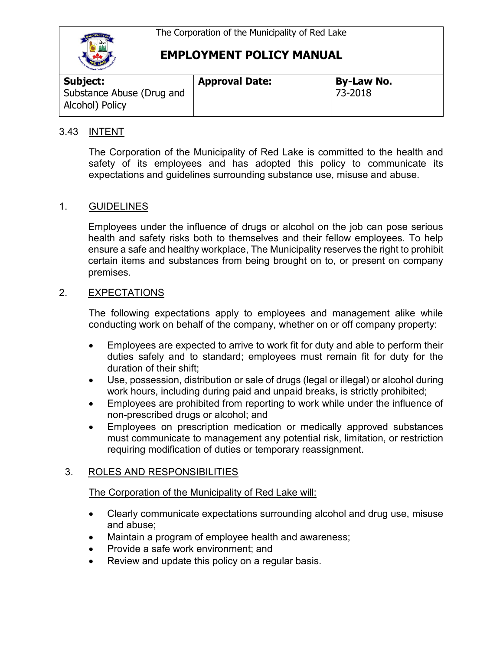

| <b>Subject:</b>                              | <b>Approval Date:</b> | <b>By-Law No.</b> |  |
|----------------------------------------------|-----------------------|-------------------|--|
| Substance Abuse (Drug and<br>Alcohol) Policy |                       | 73-2018           |  |

### 3.43 INTENT

The Corporation of the Municipality of Red Lake is committed to the health and safety of its employees and has adopted this policy to communicate its expectations and guidelines surrounding substance use, misuse and abuse.

### 1. GUIDELINES

Employees under the influence of drugs or alcohol on the job can pose serious health and safety risks both to themselves and their fellow employees. To help ensure a safe and healthy workplace, The Municipality reserves the right to prohibit certain items and substances from being brought on to, or present on company premises.

### 2. EXPECTATIONS

The following expectations apply to employees and management alike while conducting work on behalf of the company, whether on or off company property:

- Employees are expected to arrive to work fit for duty and able to perform their duties safely and to standard; employees must remain fit for duty for the duration of their shift;
- Use, possession, distribution or sale of drugs (legal or illegal) or alcohol during work hours, including during paid and unpaid breaks, is strictly prohibited;
- Employees are prohibited from reporting to work while under the influence of non-prescribed drugs or alcohol; and
- Employees on prescription medication or medically approved substances must communicate to management any potential risk, limitation, or restriction requiring modification of duties or temporary reassignment.

### 3. ROLES AND RESPONSIBILITIES

The Corporation of the Municipality of Red Lake will:

- Clearly communicate expectations surrounding alcohol and drug use, misuse and abuse;
- Maintain a program of employee health and awareness;
- Provide a safe work environment; and
- Review and update this policy on a regular basis.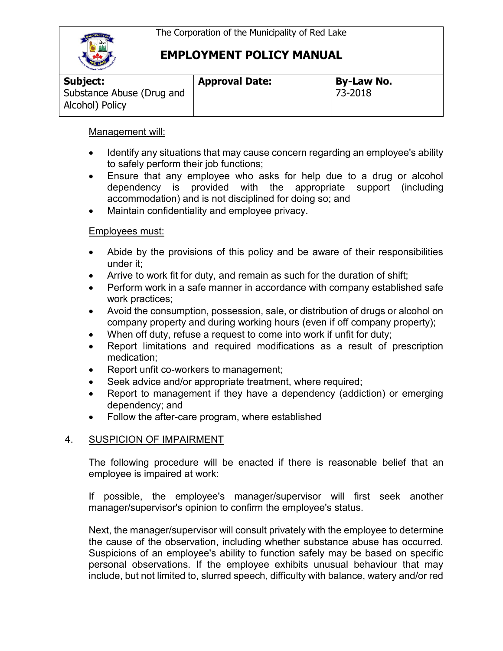

| <b>Oddany Caribou !!!</b>                    |                       |                   |
|----------------------------------------------|-----------------------|-------------------|
| Subject:                                     | <b>Approval Date:</b> | <b>By-Law No.</b> |
| Substance Abuse (Drug and<br>Alcohol) Policy |                       | 73-2018           |

### Management will:

- Identify any situations that may cause concern regarding an employee's ability to safely perform their job functions;
- Ensure that any employee who asks for help due to a drug or alcohol dependency is provided with the appropriate support (including accommodation) and is not disciplined for doing so; and
- Maintain confidentiality and employee privacy.

### Employees must:

- Abide by the provisions of this policy and be aware of their responsibilities under it;
- Arrive to work fit for duty, and remain as such for the duration of shift;
- Perform work in a safe manner in accordance with company established safe work practices;
- Avoid the consumption, possession, sale, or distribution of drugs or alcohol on company property and during working hours (even if off company property);
- When off duty, refuse a request to come into work if unfit for duty;
- Report limitations and required modifications as a result of prescription medication;
- Report unfit co-workers to management;
- Seek advice and/or appropriate treatment, where required;
- Report to management if they have a dependency (addiction) or emerging dependency; and
- Follow the after-care program, where established

## 4. SUSPICION OF IMPAIRMENT

The following procedure will be enacted if there is reasonable belief that an employee is impaired at work:

If possible, the employee's manager/supervisor will first seek another manager/supervisor's opinion to confirm the employee's status.

Next, the manager/supervisor will consult privately with the employee to determine the cause of the observation, including whether substance abuse has occurred. Suspicions of an employee's ability to function safely may be based on specific personal observations. If the employee exhibits unusual behaviour that may include, but not limited to, slurred speech, difficulty with balance, watery and/or red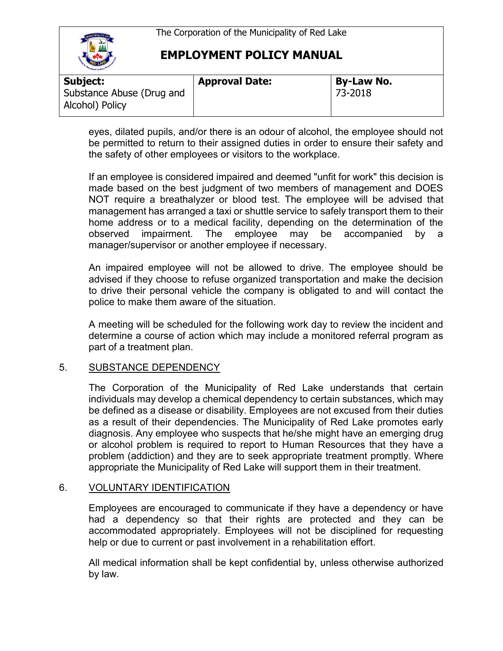The Corporation of the Municipality of Red Lake



## **EMPLOYMENT POLICY MANUAL**

| <b>Carl Carl DOV</b>                         |                       |                   |
|----------------------------------------------|-----------------------|-------------------|
| Subject:                                     | <b>Approval Date:</b> | <b>By-Law No.</b> |
| Substance Abuse (Drug and<br>Alcohol) Policy |                       | 73-2018           |

eyes, dilated pupils, and/or there is an odour of alcohol, the employee should not be permitted to return to their assigned duties in order to ensure their safety and the safety of other employees or visitors to the workplace.

If an employee is considered impaired and deemed "unfit for work" this decision is made based on the best judgment of two members of management and DOES NOT require a breathalyzer or blood test. The employee will be advised that management has arranged a taxi or shuttle service to safely transport them to their home address or to a medical facility, depending on the determination of the observed impairment. The employee may be accompanied by a manager/supervisor or another employee if necessary.

An impaired employee will not be allowed to drive. The employee should be advised if they choose to refuse organized transportation and make the decision to drive their personal vehicle the company is obligated to and will contact the police to make them aware of the situation.

A meeting will be scheduled for the following work day to review the incident and determine a course of action which may include a monitored referral program as part of a treatment plan.

### 5. SUBSTANCE DEPENDENCY

The Corporation of the Municipality of Red Lake understands that certain individuals may develop a chemical dependency to certain substances, which may be defined as a disease or disability. Employees are not excused from their duties as a result of their dependencies. The Municipality of Red Lake promotes early diagnosis. Any employee who suspects that he/she might have an emerging drug or alcohol problem is required to report to Human Resources that they have a problem (addiction) and they are to seek appropriate treatment promptly. Where appropriate the Municipality of Red Lake will support them in their treatment.

### 6. VOLUNTARY IDENTIFICATION

Employees are encouraged to communicate if they have a dependency or have had a dependency so that their rights are protected and they can be accommodated appropriately. Employees will not be disciplined for requesting help or due to current or past involvement in a rehabilitation effort.

All medical information shall be kept confidential by, unless otherwise authorized by law.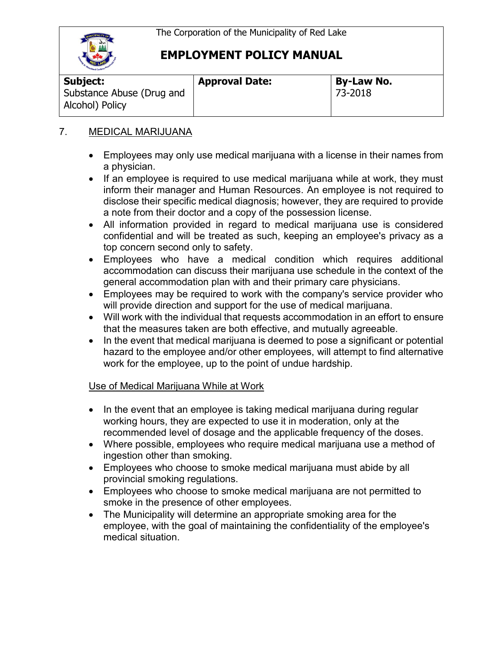

| <b>Codiand Caribou Way</b>                   |                       |                   |  |
|----------------------------------------------|-----------------------|-------------------|--|
| Subject:                                     | <b>Approval Date:</b> | <b>By-Law No.</b> |  |
| Substance Abuse (Drug and<br>Alcohol) Policy |                       | 73-2018           |  |

## 7. MEDICAL MARIJUANA

- Employees may only use medical marijuana with a license in their names from a physician.
- If an employee is required to use medical marijuana while at work, they must inform their manager and Human Resources. An employee is not required to disclose their specific medical diagnosis; however, they are required to provide a note from their doctor and a copy of the possession license.
- All information provided in regard to medical marijuana use is considered confidential and will be treated as such, keeping an employee's privacy as a top concern second only to safety.
- Employees who have a medical condition which requires additional accommodation can discuss their marijuana use schedule in the context of the general accommodation plan with and their primary care physicians.
- Employees may be required to work with the company's service provider who will provide direction and support for the use of medical marijuana.
- Will work with the individual that requests accommodation in an effort to ensure that the measures taken are both effective, and mutually agreeable.
- In the event that medical marijuana is deemed to pose a significant or potential hazard to the employee and/or other employees, will attempt to find alternative work for the employee, up to the point of undue hardship.

## Use of Medical Marijuana While at Work

- In the event that an employee is taking medical marijuana during regular working hours, they are expected to use it in moderation, only at the recommended level of dosage and the applicable frequency of the doses.
- Where possible, employees who require medical marijuana use a method of ingestion other than smoking.
- Employees who choose to smoke medical marijuana must abide by all provincial smoking regulations.
- Employees who choose to smoke medical marijuana are not permitted to smoke in the presence of other employees.
- The Municipality will determine an appropriate smoking area for the employee, with the goal of maintaining the confidentiality of the employee's medical situation.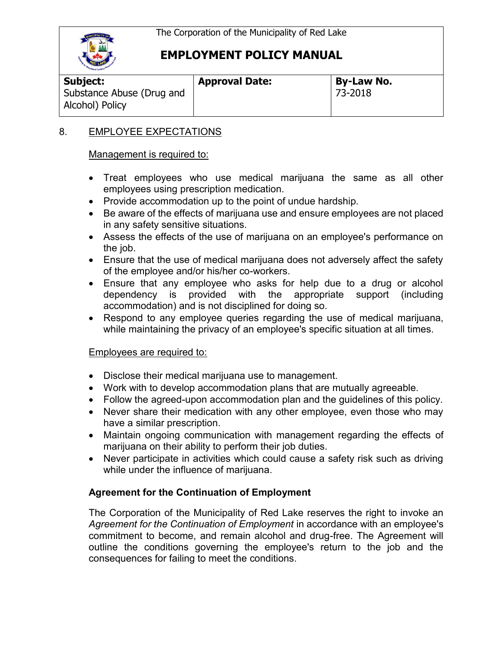

Alcohol) Policy

# **EMPLOYMENT POLICY MANUAL**

**Subject:**  Substance Abuse (Drug and **Approval Date: By-Law No.**

73-2018

## 8. EMPLOYEE EXPECTATIONS

### Management is required to:

- Treat employees who use medical marijuana the same as all other employees using prescription medication.
- Provide accommodation up to the point of undue hardship.
- Be aware of the effects of marijuana use and ensure employees are not placed in any safety sensitive situations.
- Assess the effects of the use of marijuana on an employee's performance on the job.
- Ensure that the use of medical marijuana does not adversely affect the safety of the employee and/or his/her co-workers.
- Ensure that any employee who asks for help due to a drug or alcohol dependency is provided with the appropriate support (including accommodation) and is not disciplined for doing so.
- Respond to any employee queries regarding the use of medical marijuana, while maintaining the privacy of an employee's specific situation at all times.

## Employees are required to:

- Disclose their medical marijuana use to management.
- Work with to develop accommodation plans that are mutually agreeable.
- Follow the agreed-upon accommodation plan and the guidelines of this policy.
- Never share their medication with any other employee, even those who may have a similar prescription.
- Maintain ongoing communication with management regarding the effects of marijuana on their ability to perform their job duties.
- Never participate in activities which could cause a safety risk such as driving while under the influence of marijuana.

## **Agreement for the Continuation of Employment**

The Corporation of the Municipality of Red Lake reserves the right to invoke an *Agreement for the Continuation of Employment* in accordance with an employee's commitment to become, and remain alcohol and drug-free. The Agreement will outline the conditions governing the employee's return to the job and the consequences for failing to meet the conditions.